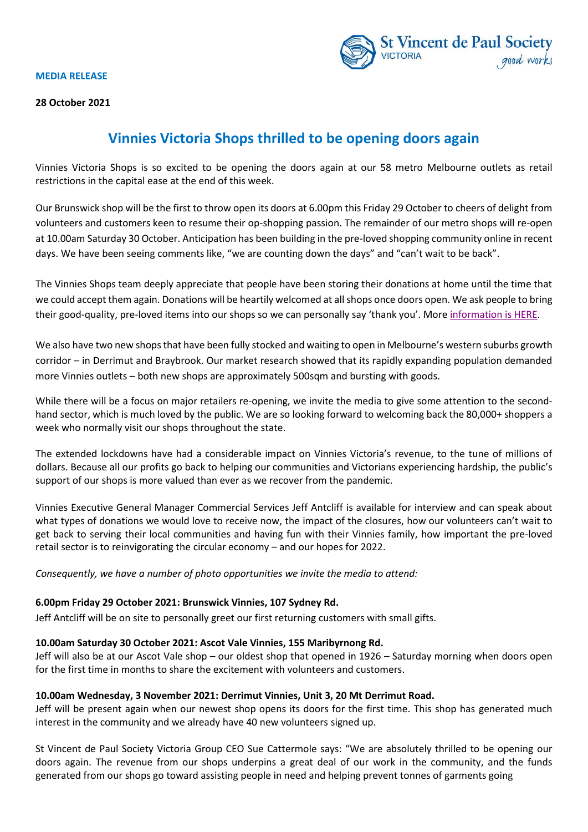#### **MEDIA RELEASE**





# **Vinnies Victoria Shops thrilled to be opening doors again**

Vinnies Victoria Shops is so excited to be opening the doors again at our 58 metro Melbourne outlets as retail restrictions in the capital ease at the end of this week.

Our Brunswick shop will be the first to throw open its doors at 6.00pm this Friday 29 October to cheers of delight from volunteers and customers keen to resume their op-shopping passion. The remainder of our metro shops will re-open at 10.00am Saturday 30 October. Anticipation has been building in the pre-loved shopping community online in recent days. We have been seeing comments like, "we are counting down the days" and "can't wait to be back".

The Vinnies Shops team deeply appreciate that people have been storing their donations at home until the time that we could accept them again. Donations will be heartily welcomed at all shops once doors open. We ask people to bring their good-quality, pre-loved items into our shops so we can personally say 'thank you'. Mor[e information](https://www.vinnies.org.au/page/Donate/Donate_Goods/) is HERE.

We also have two new shops that have been fully stocked and waiting to open in Melbourne's western suburbs growth corridor – in Derrimut and Braybrook. Our market research showed that its rapidly expanding population demanded more Vinnies outlets – both new shops are approximately 500sqm and bursting with goods.

While there will be a focus on major retailers re-opening, we invite the media to give some attention to the secondhand sector, which is much loved by the public. We are so looking forward to welcoming back the 80,000+ shoppers a week who normally visit our shops throughout the state.

The extended lockdowns have had a considerable impact on Vinnies Victoria's revenue, to the tune of millions of dollars. Because all our profits go back to helping our communities and Victorians experiencing hardship, the public's support of our shops is more valued than ever as we recover from the pandemic.

Vinnies Executive General Manager Commercial Services Jeff Antcliff is available for interview and can speak about what types of donations we would love to receive now, the impact of the closures, how our volunteers can't wait to get back to serving their local communities and having fun with their Vinnies family, how important the pre-loved retail sector is to reinvigorating the circular economy – and our hopes for 2022.

*Consequently, we have a number of photo opportunities we invite the media to attend:*

## **6.00pm Friday 29 October 2021: Brunswick Vinnies, 107 Sydney Rd.**

Jeff Antcliff will be on site to personally greet our first returning customers with small gifts.

## **10.00am Saturday 30 October 2021: Ascot Vale Vinnies, 155 Maribyrnong Rd.**

Jeff will also be at our Ascot Vale shop – our oldest shop that opened in 1926 – Saturday morning when doors open for the first time in months to share the excitement with volunteers and customers.

## **10.00am Wednesday, 3 November 2021: Derrimut Vinnies, Unit 3, 20 Mt Derrimut Road.**

Jeff will be present again when our newest shop opens its doors for the first time. This shop has generated much interest in the community and we already have 40 new volunteers signed up.

St Vincent de Paul Society Victoria Group CEO Sue Cattermole says: "We are absolutely thrilled to be opening our doors again. The revenue from our shops underpins a great deal of our work in the community, and the funds generated from our shops go toward assisting people in need and helping prevent tonnes of garments going